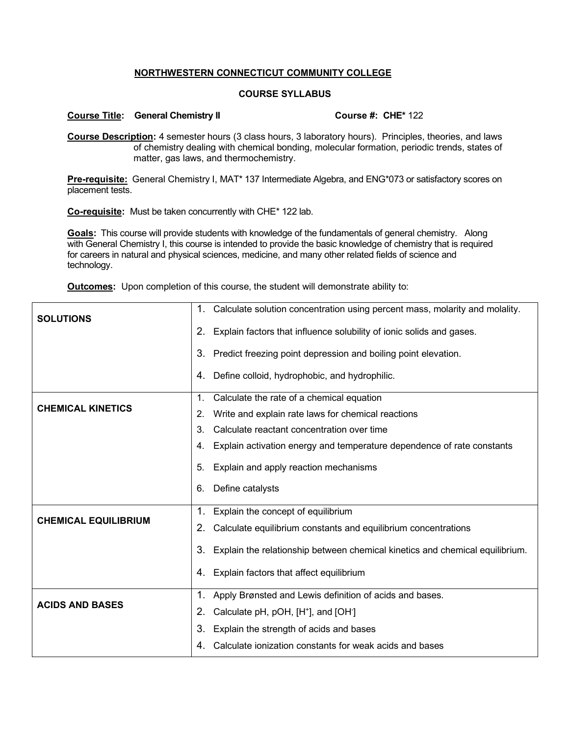## **NORTHWESTERN CONNECTICUT COMMUNITY COLLEGE**

## **COURSE SYLLABUS**

## **Course Title: General Chemistry II Course #: CHE\*** 122

**Course Description:** 4 semester hours (3 class hours, 3 laboratory hours). Principles, theories, and laws of chemistry dealing with chemical bonding, molecular formation, periodic trends, states of matter, gas laws, and thermochemistry.

**Pre-requisite:** General Chemistry I, MAT\* 137 Intermediate Algebra, and ENG\*073 or satisfactory scores on placement tests.

**Co-requisite:** Must be taken concurrently with CHE\* 122 lab.

**Goals:** This course will provide students with knowledge of the fundamentals of general chemistry. Along with General Chemistry I, this course is intended to provide the basic knowledge of chemistry that is required for careers in natural and physical sciences, medicine, and many other related fields of science and technology.

**Outcomes:** Upon completion of this course, the student will demonstrate ability to:

| <b>SOLUTIONS</b>            | Calculate solution concentration using percent mass, molarity and molality.<br>1.  |
|-----------------------------|------------------------------------------------------------------------------------|
|                             | Explain factors that influence solubility of ionic solids and gases.<br>2.         |
|                             | 3. Predict freezing point depression and boiling point elevation.                  |
|                             | Define colloid, hydrophobic, and hydrophilic.<br>4.                                |
| <b>CHEMICAL KINETICS</b>    | Calculate the rate of a chemical equation<br>1.                                    |
|                             | Write and explain rate laws for chemical reactions<br>2.                           |
|                             | Calculate reactant concentration over time<br>3.                                   |
|                             | Explain activation energy and temperature dependence of rate constants<br>4.       |
|                             | Explain and apply reaction mechanisms<br>5.                                        |
|                             | Define catalysts<br>6.                                                             |
| <b>CHEMICAL EQUILIBRIUM</b> | Explain the concept of equilibrium<br>1.                                           |
|                             | Calculate equilibrium constants and equilibrium concentrations<br>2.               |
|                             | 3.<br>Explain the relationship between chemical kinetics and chemical equilibrium. |
|                             | Explain factors that affect equilibrium<br>4.                                      |
| <b>ACIDS AND BASES</b>      | Apply Brønsted and Lewis definition of acids and bases.<br>1.                      |
|                             | Calculate pH, pOH, [H <sup>+</sup> ], and [OH <sup>-</sup> ]<br>2.                 |
|                             | Explain the strength of acids and bases<br>3.                                      |
|                             | Calculate ionization constants for weak acids and bases<br>4.                      |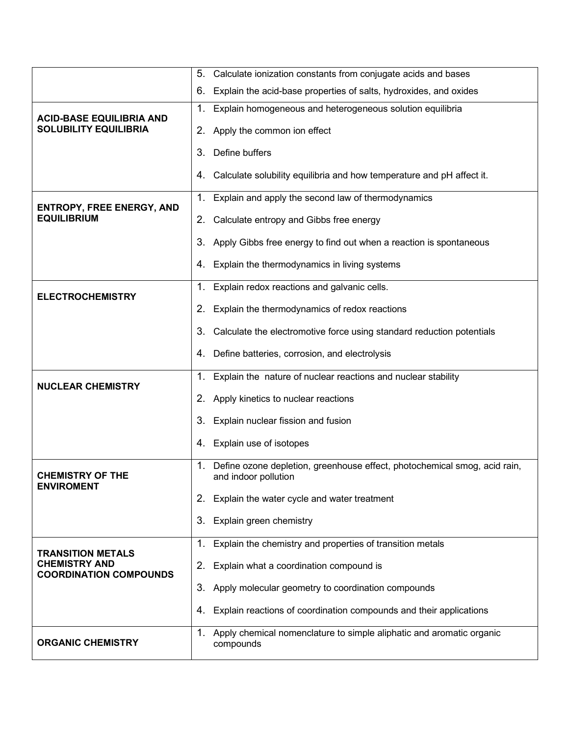|                                                                                   | Calculate ionization constants from conjugate acids and bases<br>5.                                     |
|-----------------------------------------------------------------------------------|---------------------------------------------------------------------------------------------------------|
|                                                                                   | Explain the acid-base properties of salts, hydroxides, and oxides<br>6.                                 |
| <b>ACID-BASE EQUILIBRIA AND</b><br><b>SOLUBILITY EQUILIBRIA</b>                   | 1.<br>Explain homogeneous and heterogeneous solution equilibria                                         |
|                                                                                   | Apply the common ion effect<br>2.                                                                       |
|                                                                                   | Define buffers<br>3.                                                                                    |
|                                                                                   | Calculate solubility equilibria and how temperature and pH affect it.<br>4.                             |
| <b>ENTROPY, FREE ENERGY, AND</b><br><b>EQUILIBRIUM</b>                            | Explain and apply the second law of thermodynamics<br>1 <sub>1</sub>                                    |
|                                                                                   | Calculate entropy and Gibbs free energy<br>2.                                                           |
|                                                                                   | Apply Gibbs free energy to find out when a reaction is spontaneous<br>3.                                |
|                                                                                   | Explain the thermodynamics in living systems<br>4.                                                      |
| <b>ELECTROCHEMISTRY</b>                                                           | Explain redox reactions and galvanic cells.<br>1.                                                       |
|                                                                                   | Explain the thermodynamics of redox reactions<br>2.                                                     |
|                                                                                   | Calculate the electromotive force using standard reduction potentials<br>3.                             |
|                                                                                   | Define batteries, corrosion, and electrolysis<br>4.                                                     |
| <b>NUCLEAR CHEMISTRY</b>                                                          | Explain the nature of nuclear reactions and nuclear stability<br>1 <sub>1</sub>                         |
|                                                                                   | Apply kinetics to nuclear reactions<br>2.                                                               |
|                                                                                   | Explain nuclear fission and fusion<br>3.                                                                |
|                                                                                   | Explain use of isotopes<br>4.                                                                           |
| <b>CHEMISTRY OF THE</b><br><b>ENVIROMENT</b>                                      | Define ozone depletion, greenhouse effect, photochemical smog, acid rain,<br>1.<br>and indoor pollution |
|                                                                                   | Explain the water cycle and water treatment<br>2.                                                       |
|                                                                                   | 3.<br>Explain green chemistry                                                                           |
|                                                                                   | 1.<br>Explain the chemistry and properties of transition metals                                         |
| <b>TRANSITION METALS</b><br><b>CHEMISTRY AND</b><br><b>COORDINATION COMPOUNDS</b> | Explain what a coordination compound is<br>2.                                                           |
|                                                                                   | 3.<br>Apply molecular geometry to coordination compounds                                                |
|                                                                                   | Explain reactions of coordination compounds and their applications<br>4.                                |
| <b>ORGANIC CHEMISTRY</b>                                                          | 1.<br>Apply chemical nomenclature to simple aliphatic and aromatic organic<br>compounds                 |